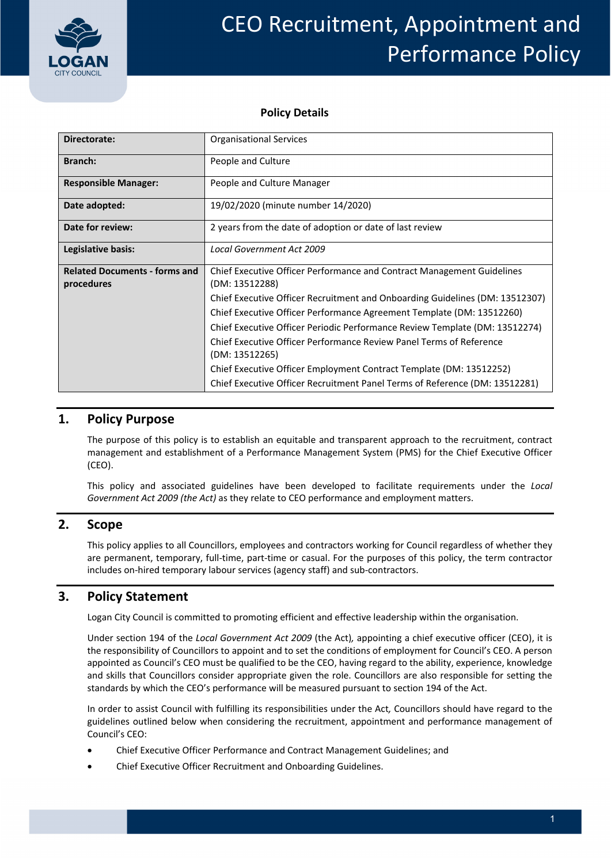

# CEO Recruitment, Appointment and Performance Policy

#### **Policy Details**

| Directorate:                                       | <b>Organisational Services</b>                                                                  |  |  |
|----------------------------------------------------|-------------------------------------------------------------------------------------------------|--|--|
| <b>Branch:</b>                                     | People and Culture                                                                              |  |  |
| <b>Responsible Manager:</b>                        | People and Culture Manager                                                                      |  |  |
| Date adopted:                                      | 19/02/2020 (minute number 14/2020)                                                              |  |  |
| Date for review:                                   | 2 years from the date of adoption or date of last review                                        |  |  |
| Legislative basis:                                 | <b>Local Government Act 2009</b>                                                                |  |  |
| <b>Related Documents - forms and</b><br>procedures | <b>Chief Executive Officer Performance and Contract Management Guidelines</b><br>(DM: 13512288) |  |  |
|                                                    | Chief Executive Officer Recruitment and Onboarding Guidelines (DM: 13512307)                    |  |  |
|                                                    | Chief Executive Officer Performance Agreement Template (DM: 13512260)                           |  |  |
|                                                    | Chief Executive Officer Periodic Performance Review Template (DM: 13512274)                     |  |  |
|                                                    | Chief Executive Officer Performance Review Panel Terms of Reference<br>(DM: 13512265)           |  |  |
|                                                    | Chief Executive Officer Employment Contract Template (DM: 13512252)                             |  |  |
|                                                    | Chief Executive Officer Recruitment Panel Terms of Reference (DM: 13512281)                     |  |  |

## **1. Policy Purpose**

 The purpose of this policy is to establish an equitable and transparent approach to the recruitment, contract management and establishment of a Performance Management System (PMS) for the Chief Executive Officer (CEO).

 This policy and associated guidelines have been developed to facilitate requirements under the *Local Government Act 2009 (the Act)* as they relate to CEO performance and employment matters.

## **2. Scope**

 This policy applies to all Councillors, employees and contractors working for Council regardless of whether they are permanent, temporary, full‐time, part‐time or casual. For the purposes of this policy, the term contractor includes on‐hired temporary labour services (agency staff) and sub‐contractors.

## **3. Policy Statement**

Logan City Council is committed to promoting efficient and effective leadership within the organisation.

  Under section 194 of the *Local Government Act 2009* (the Act)*,* appointing a chief executive officer (CEO), it is the responsibility of Councillors to appoint and to set the conditions of employment for Council's CEO. A person appointed as Council's CEO must be qualified to be the CEO, having regard to the ability, experience, knowledge and skills that Councillors consider appropriate given the role. Councillors are also responsible for setting the standards by which the CEO's performance will be measured pursuant to section 194 of the Act.

 In order to assist Council with fulfilling its responsibilities under the Act*,* Councillors should have regard to the guidelines outlined below when considering the recruitment, appointment and performance management of Council's CEO:

- Chief Executive Officer Performance and Contract Management Guidelines; and
- Chief Executive Officer Recruitment and Onboarding Guidelines.